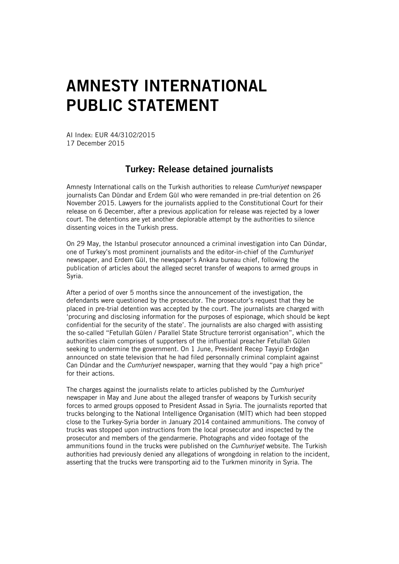## AMNESTY INTERNATIONAL PUBLIC STATEMENT

AI Index: EUR 44/3102/2015 17 December 2015

## Turkey: Release detained journalists

Amnesty International calls on the Turkish authorities to release *Cumhuriyet* newspaper journalists Can Dündar and Erdem Gül who were remanded in pre-trial detention on 26 November 2015. Lawyers for the journalists applied to the Constitutional Court for their release on 6 December, after a previous application for release was rejected by a lower court. The detentions are yet another deplorable attempt by the authorities to silence dissenting voices in the Turkish press.

On 29 May, the Istanbul prosecutor announced a criminal investigation into Can Dündar, one of Turkey's most prominent journalists and the editor-in-chief of the *Cumhuriyet* newspaper, and Erdem Gül, the newspaper's Ankara bureau chief, following the publication of articles about the alleged secret transfer of weapons to armed groups in Syria.

After a period of over 5 months since the announcement of the investigation, the defendants were questioned by the prosecutor. The prosecutor's request that they be placed in pre-trial detention was accepted by the court. The journalists are charged with 'procuring and disclosing information for the purposes of espionage, which should be kept confidential for the security of the state'. The journalists are also charged with assisting the so-called "Fetullah Gülen / Parallel State Structure terrorist organisation", which the authorities claim comprises of supporters of the influential preacher Fetullah Gülen seeking to undermine the government. On 1 June, President Recep Tayyip Erdoğan announced on state television that he had filed personnally criminal complaint against Can Dündar and the *Cumhuriyet* newspaper, warning that they would "pay a high price" for their actions.

The charges against the journalists relate to articles published by the *Cumhuriyet* newspaper in May and June about the alleged transfer of weapons by Turkish security forces to armed groups opposed to President Assad in Syria. The journalists reported that trucks belonging to the National Intelligence Organisation (MİT) which had been stopped close to the Turkey-Syria border in January 2014 contained ammunitions. The convoy of trucks was stopped upon instructions from the local prosecutor and inspected by the prosecutor and members of the gendarmerie. Photographs and video footage of the ammunitions found in the trucks were published on the *Cumhuriyet* website. The Turkish authorities had previously denied any allegations of wrongdoing in relation to the incident, asserting that the trucks were transporting aid to the Turkmen minority in Syria. The